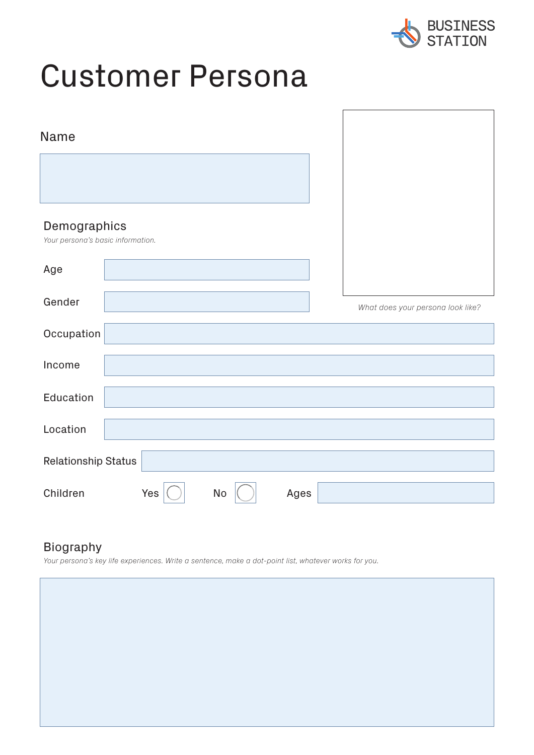

# Customer Persona

| Name                                              |  |     |    |      |                                   |
|---------------------------------------------------|--|-----|----|------|-----------------------------------|
|                                                   |  |     |    |      |                                   |
| Demographics<br>Your persona's basic information. |  |     |    |      |                                   |
| Age                                               |  |     |    |      |                                   |
| Gender                                            |  |     |    |      | What does your persona look like? |
| Occupation                                        |  |     |    |      |                                   |
| Income                                            |  |     |    |      |                                   |
| Education                                         |  |     |    |      |                                   |
| Location                                          |  |     |    |      |                                   |
| <b>Relationship Status</b>                        |  |     |    |      |                                   |
| Children                                          |  | Yes | No | Ages |                                   |

# Biography

*Your persona's key life experiences. Write a sentence, make a dot-point list, whatever works for you.*

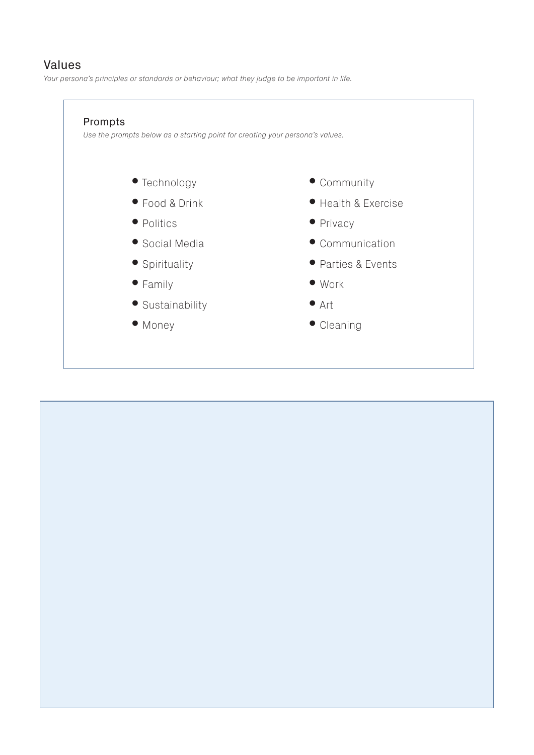#### Values

*Your persona's principles or standards or behaviour; what they judge to be important in life.*



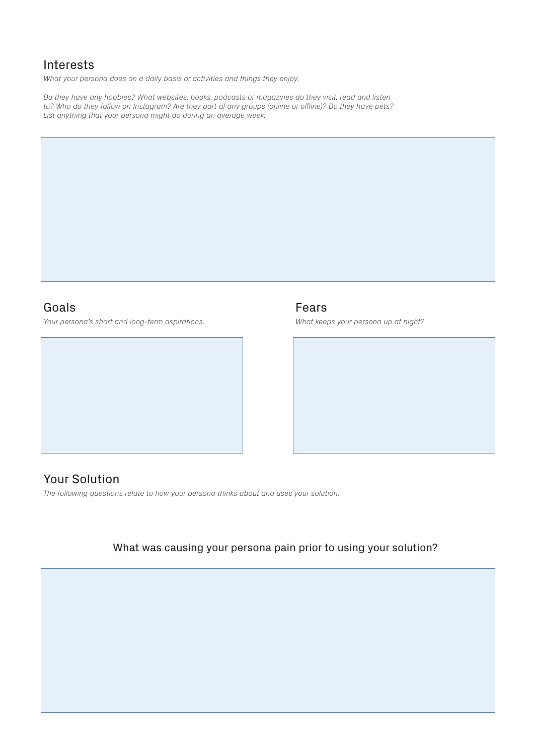## Interests

*What your persona does on a daily basis or activities and things they enjoy.*

*Do they have any hobbies? What websites, books, podcasts or magazines do they visit, read and listen* to? Who do they follow on Instagram? Are they part of any groups (online or offline)? Do they have pets? *List anything that your persona might do during an average week.*

#### Goals

*Your persona's short and long-term aspirations.*



## Fears

*What keeps your persona up at night?*



# Your Solution

*The following questions relate to how your persona thinks about and uses your solution.*

## What was causing your persona pain prior to using your solution?